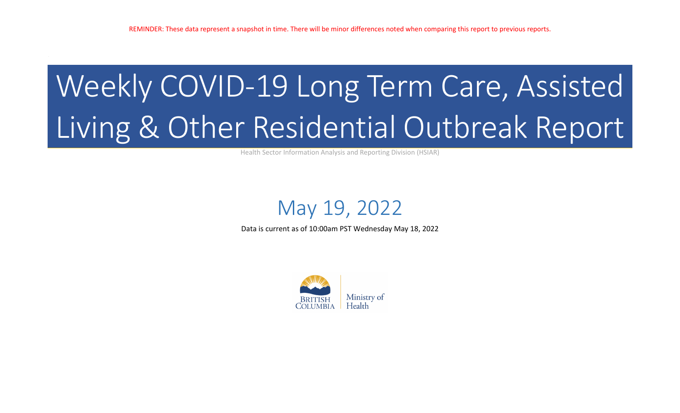# Weekly COVID-19 Long Term Care, Assisted Living & Other Residential Outbreak Report

Health Sector Information Analysis and Reporting Division (HSIAR)

## May 19, 2022

Data is current as of 10:00am PST Wednesday May 18, 2022

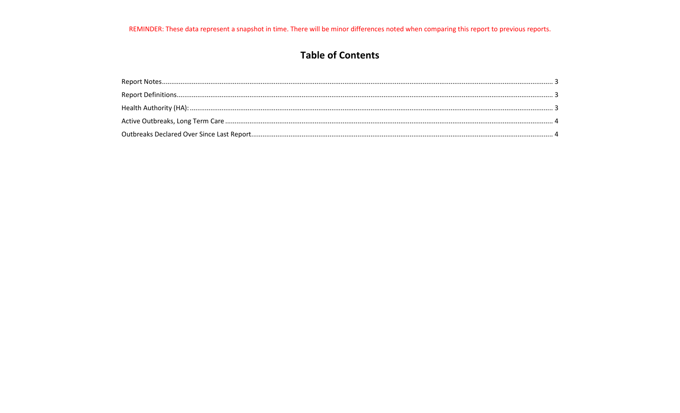### **Table of Contents**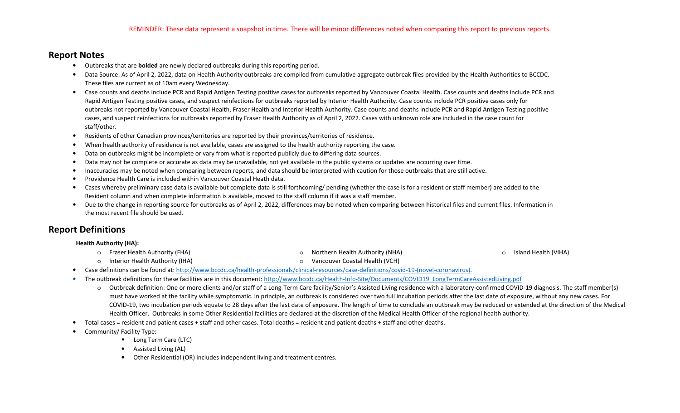#### **Report Notes**

- Outbreaks that are **bolded** are newly declared outbreaks during this reporting period.
- Data Source: As of April 2, 2022, data on Health Authority outbreaks are compiled from cumulative aggregate outbreak files provided by the Health Authorities to BCCDC. These files are current as of 10am every Wednesday.
- Case counts and deaths include PCR and Rapid Antigen Testing positive cases for outbreaks reported by Vancouver Coastal Health. Case counts and deaths include PCR and Rapid Antigen Testing positive cases, and suspect reinfections for outbreaks reported by Interior Health Authority. Case counts include PCR positive cases only for outbreaks not reported by Vancouver Coastal Health, Fraser Health and Interior Health Authority. Case counts and deaths include PCR and Rapid Antigen Testing positive cases, and suspect reinfections for outbreaks reported by Fraser Health Authority as of April 2, 2022. Cases with unknown role are included in the case count for staff/other.
- $\bullet$ Residents of other Canadian provinces/territories are reported by their provinces/territories of residence.
- •When health authority of residence is not available, cases are assigned to the health authority reporting the case.
- •Data on outbreaks might be incomplete or vary from what is reported publicly due to differing data sources.
- •Data may not be complete or accurate as data may be unavailable, not yet available in the public systems or updates are occurring over time.
- •Inaccuracies may be noted when comparing between reports, and data should be interpreted with caution for those outbreaks that are still active.
- •Providence Health Care is included within Vancouver Coastal Heath data.
- • Cases whereby preliminary case data is available but complete data is still forthcoming/ pending (whether the case is for a resident or staff member) are added to the Resident column and when complete information is available, moved to the staff column if it was a staff member.
- $\bullet$  Due to the change in reporting source for outbreaks as of April 2, 2022, differences may be noted when comparing between historical files and current files. Information in the most recent file should be used.

#### **Report Definitions**

#### **Health Authority (HA):**

- o Fraser Health Authority (FHA)
- o Interior Health Authority (IHA)

o Northern Health Authority (NHA)

oIsland Health (VIHA)

- o Vancouver Coastal Health (VCH)
- $\bullet$ Case definitions can be found at: http://www.bccdc.ca/health-professionals/clinical-resources/case-definitions/covid-19-(novel-coronavirus).
- The outbreak definitions for these facilities are in this document: <u>http://www.bccdc.ca/Health-Info-Site/Documents/COVID19\_LongTermCareAssistedLiving.pdf</u>
	- o Outbreak definition: One or more clients and/or staff of a Long-Term Care facility/Senior's Assisted Living residence with a laboratory-confirmed COVID-19 diagnosis. The staff member(s) must have worked at the facility while symptomatic. In principle, an outbreak is considered over two full incubation periods after the last date of exposure, without any new cases. For COVID-19, two incubation periods equate to 28 days after the last date of exposure. The length of time to conclude an outbreak may be reduced or extended at the direction of the Medical Health Officer. Outbreaks in some Other Residential facilities are declared at the discretion of the Medical Health Officer of the regional health authority.
- Total cases = resident and patient cases + staff and other cases. Total deaths = resident and patient deaths + staff and other deaths.
- • Community/ Facility Type:
	- Long Term Care (LTC)
	- Assisted Living (AL)
	- Other Residential (OR) includes independent living and treatment centres.